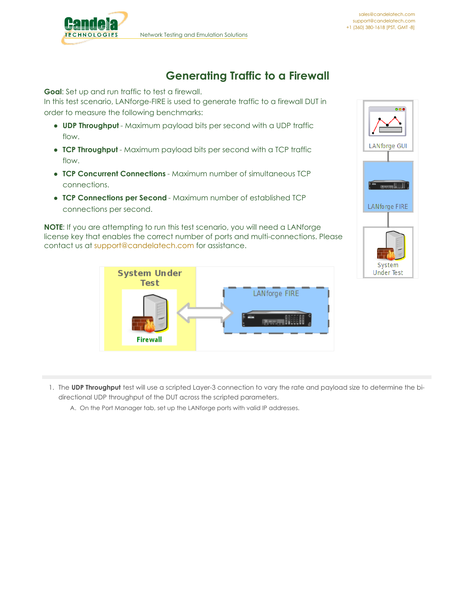

## **Generating Traffic to a Firewall**

**Goal**: Set up and run traffic to test a firewall.

In this test scenario, LANforge-FIRE is used to generate traffic to a firewall DUT in order to measure the following benchmarks:

- **UDP Throughput** Maximum payload bits per second with a UDP traffic flow.
- **TCP Throughput** Maximum payload bits per second with a TCP traffic flow.
- **TCP Concurrent Connections** Maximum number of simultaneous TCP connections.
- **TCP Connections per Second** Maximum number of established TCP connections per second.

**NOTE**: If you are attempting to run this test scenario, you will need a LANforge license key that enables the correct number of ports and multi-connections. Please contact us at [support@candelatech.com](mailto:support@candelatech.com) for assistance.





1. The **UDP Throughput** test will use a scripted Layer-3 connection to vary the rate and payload size to determine the bidirectional UDP throughput of the DUT across the scripted parameters.

A. On the Port Manager tab, set up the LANforge ports with valid IP addresses.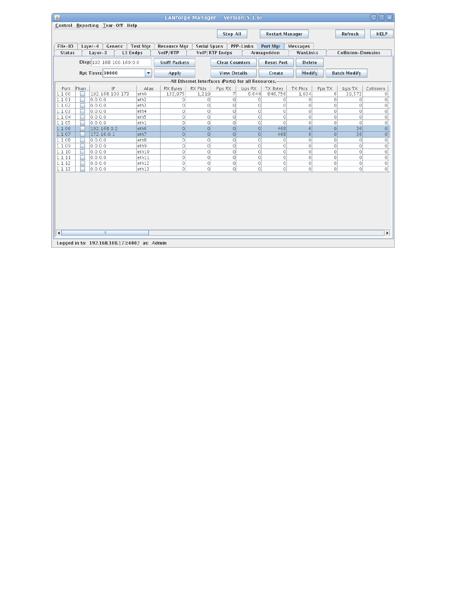| 圖                |                                                                                                                                       |                           | <b>LANforge Manager</b>                              |                     |                       | Version $(5.1.6)$ |                        |                    |               |                          | aori                      |  |  |  |
|------------------|---------------------------------------------------------------------------------------------------------------------------------------|---------------------------|------------------------------------------------------|---------------------|-----------------------|-------------------|------------------------|--------------------|---------------|--------------------------|---------------------------|--|--|--|
|                  | Control Reporting Tear-Off Help                                                                                                       |                           |                                                      |                     |                       |                   |                        |                    |               |                          |                           |  |  |  |
|                  |                                                                                                                                       |                           |                                                      |                     | <b>Stop All</b>       |                   | <b>Restart Manager</b> |                    |               | Refresh                  | <b>HELP</b>               |  |  |  |
|                  |                                                                                                                                       |                           |                                                      |                     |                       |                   |                        |                    |               |                          |                           |  |  |  |
| File-IO          | Generic<br>$Layer-4$                                                                                                                  | <b>Test Mgr</b>           | <b>Resource Mar</b>                                  | <b>Serial Spans</b> |                       | PPP-Links         | Port Mgr               | <b>Messages</b>    |               |                          |                           |  |  |  |
| <b>Status</b>    | Layer-3<br>L3 Endps                                                                                                                   |                           | VoIP/RTP                                             |                     | VoIP/RTP Endps        |                   | Armageddon             | WanLinks           |               | <b>Collision-Domains</b> |                           |  |  |  |
|                  | Disp: 192.168.100.169:0.0                                                                                                             |                           | <b>Sniff Packets</b>                                 |                     | <b>Clear Counters</b> |                   | <b>Reset Port</b>      | <b>Delete</b>      |               |                          |                           |  |  |  |
|                  |                                                                                                                                       |                           |                                                      |                     |                       |                   |                        |                    |               |                          |                           |  |  |  |
|                  | Rpt Timer: 30000                                                                                                                      | ▼                         | Apply                                                |                     | <b>View Details</b>   |                   | Create                 | Modify             |               | <b>Batch Modify</b>      |                           |  |  |  |
|                  |                                                                                                                                       |                           | -All Ethernet Interfaces (Ports) for all Resources.- |                     |                       |                   |                        |                    |               |                          |                           |  |  |  |
| Port             | Phan<br>IP<br>RX Bytes<br><b>RX Pkts</b><br><b>TX Pkts</b><br>Collisions<br>Alias<br>Pps RX<br>bps RX<br>TX Bytes<br>Pps TX<br>bps TX |                           |                                                      |                     |                       |                   |                        |                    |               |                          |                           |  |  |  |
| 1.1.00           | 192.168.100.173                                                                                                                       | eth0                      | 132,975                                              | 1.219               |                       | 6.644             | 846,756                | 1.034              | 6             | 39,572                   | $\circ$                   |  |  |  |
| 1.1.01<br>1.1.02 | 0.0.0.0<br>0.0.0.0                                                                                                                    | eth <sub>2</sub><br>leth3 | 0<br>0                                               | $\circ$<br>$\circ$  | $\Omega$<br>$\circ$   | $\circ$<br>0      | 0<br>0                 | $\circ$<br>$\circ$ | $\Omega$<br>0 | 0<br>0                   | $\circ$<br>$\circ$        |  |  |  |
| 1.1.03           | 0.0.0.0                                                                                                                               | leth4                     | 0                                                    | $\circ$             | $\Omega$              | $\Omega$          | 0                      | $\circ$            | $\circ$       | $\Omega$                 | $\circ$                   |  |  |  |
| 1.1.04           | 0.0.0.0                                                                                                                               | leth5                     | 0                                                    | $\circ$             | $\Omega$              | 0                 | 0                      | $\circ$            | $\Omega$      | $\circ$                  | 0                         |  |  |  |
| 1.1.05           | 0.0.0.0                                                                                                                               | leth 1                    | 0                                                    | $\circ$             | $\circ$               | $\circ$           | 0                      | $\circ$            | $\circ$       | 0                        | $\circ$                   |  |  |  |
| 1.1.06           | 192.168.0.2                                                                                                                           | eth6                      | $\circ$                                              | $\circ$             | $\Omega$              | $\circ$           | 468                    | 61                 | $\Omega$      | 36                       | $\circ$                   |  |  |  |
| 1.1.07           | 172.16.0.1                                                                                                                            | eth7                      | $\Omega$                                             | $\Omega$            | $\Omega$              | $\Omega$          | 468                    | $\sigma$           | $\Omega$      | 36                       | $\overline{\circ}$        |  |  |  |
| 1.1.08           | 0.0.0.0                                                                                                                               | eth8                      | 0                                                    | $\circ$             | $\circ$               | 0                 | 0                      | $\circ$            | $\circ$       | 0                        | $\circ$                   |  |  |  |
| 1.1.09           | 0.0.0.0                                                                                                                               | eth9                      | 0                                                    | $\circ$             | $\circ$               | 0                 | 0                      | $\circ$            | $\circ$       | 0                        | $\circ$                   |  |  |  |
| 1.1.10           | 0.0.0.0                                                                                                                               | eth <sub>10</sub>         | 0                                                    | $\circ$             | $\Omega$              | 0                 | $\Omega$               | $\circ$            | $\Omega$      | 0                        | $\circ$                   |  |  |  |
| 1.1.11           | 0.0.0.0                                                                                                                               | eth11                     | 0                                                    | $\circ$             | $\circ$               | $\circ$           | 0                      | $\circ$            | $\circ$       | 0                        | $\circ$                   |  |  |  |
| 1.1.12           | 0.0.0.0                                                                                                                               | eth <sub>12</sub>         | 0                                                    | $\circ$<br>$\circ$  | $\circ$               | 0<br>$\Omega$     | 0<br>0                 | $\circ$            | $\circ$       | $\circ$<br>$\circ$       | $\circ$<br>$\overline{0}$ |  |  |  |
| 1.1.13           | 0.0.0.0                                                                                                                               | eth13                     | 0                                                    |                     | $\circ$               |                   |                        | $\circ$            | $\circ$       |                          |                           |  |  |  |
|                  |                                                                                                                                       |                           |                                                      |                     |                       |                   |                        |                    |               |                          |                           |  |  |  |
|                  |                                                                                                                                       |                           |                                                      |                     |                       |                   |                        |                    |               |                          |                           |  |  |  |
|                  |                                                                                                                                       |                           |                                                      |                     |                       |                   |                        |                    |               |                          |                           |  |  |  |
|                  |                                                                                                                                       |                           |                                                      |                     |                       |                   |                        |                    |               |                          |                           |  |  |  |
|                  |                                                                                                                                       |                           |                                                      |                     |                       |                   |                        |                    |               |                          |                           |  |  |  |
|                  |                                                                                                                                       |                           |                                                      |                     |                       |                   |                        |                    |               |                          |                           |  |  |  |
|                  |                                                                                                                                       |                           |                                                      |                     |                       |                   |                        |                    |               |                          |                           |  |  |  |
|                  |                                                                                                                                       |                           |                                                      |                     |                       |                   |                        |                    |               |                          |                           |  |  |  |
| $\left  \right $ | $\mathbb{I}$                                                                                                                          |                           |                                                      |                     |                       |                   |                        |                    |               |                          | $\blacktriangleright$     |  |  |  |
|                  |                                                                                                                                       |                           |                                                      |                     |                       |                   |                        |                    |               |                          |                           |  |  |  |
|                  | Logged in to: 192.168.100.173:4002 as: Admin                                                                                          |                           |                                                      |                     |                       |                   |                        |                    |               |                          |                           |  |  |  |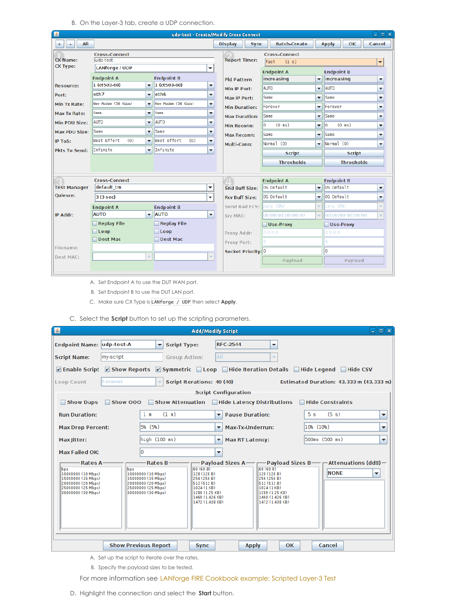B. On the Layer-3 tab, create a UDP connection.

| $\Box$ lelk<br>图<br>udp-test - Create/Modify Cross Connect |                                                    |                          |                                                |  |                               |                                       |                          |                                       |  |  |  |  |
|------------------------------------------------------------|----------------------------------------------------|--------------------------|------------------------------------------------|--|-------------------------------|---------------------------------------|--------------------------|---------------------------------------|--|--|--|--|
| All<br>$^{+}$<br>٠                                         |                                                    |                          |                                                |  | <b>Display</b><br><b>Sync</b> | <b>Batch-Create</b>                   |                          | OK<br>Cancel<br><b>Apply</b>          |  |  |  |  |
| <b>CX Name:</b><br><b>CX Type:</b>                         | <b>Cross-Connect</b><br>udp-test<br>LANforge / UDP |                          | ▼                                              |  | <b>Report Timer:</b>          | <b>Cross-Connect</b><br>fast<br>(1 s) |                          | $\overline{\phantom{a}}$              |  |  |  |  |
|                                                            | <b>Endpoint A</b>                                  |                          | <b>Endpoint B</b>                              |  | <b>Pld Pattern</b>            | <b>Endpoint A</b><br>increasing       | ٠                        | <b>Endpoint B</b><br>increasing<br>▼  |  |  |  |  |
| <b>Resource:</b>                                           | 1 (ct503-60)                                       | $\overline{\phantom{a}}$ | $ 1 (ct503-60)$<br>$\overline{\mathbf{v}}$     |  |                               | <b>AUTO</b>                           | ÷                        | <b>AUTO</b>                           |  |  |  |  |
| Port:                                                      | eth7                                               | $\overline{\mathbf{v}}$  | eth <sub>6</sub><br>▼                          |  | Min IP Port:                  | Same                                  |                          | ▼                                     |  |  |  |  |
| Min Tx Rate:                                               | New Modem (56 Kbps)                                | $\overline{\phantom{a}}$ | New Modem (56 Kbps)<br>▼                       |  | Max IP Port:                  |                                       | ▼                        | <b>Same</b><br>▼                      |  |  |  |  |
| Max Tx Rate:                                               | Same                                               | $\overline{\phantom{a}}$ | Same<br>$\overline{\phantom{a}}$               |  | <b>Min Duration:</b>          | Forever                               | ٠                        | Forever<br>▼                          |  |  |  |  |
| Min PDU Size:                                              | <b>AUTO</b>                                        | $\overline{\mathbf{v}}$  | <b>AUTO</b><br>▼                               |  | <b>Max Duration:</b>          | Same                                  | ٠                        | Same<br>▼                             |  |  |  |  |
| <b>Max PDU Size:</b>                                       | Same                                               | $\overline{\phantom{a}}$ | Same<br>▼                                      |  | <b>Min Reconn:</b>            | l٥<br>$(0 \text{ ms})$                | ٠                        | lΘ<br>$(0 \text{ ms})$<br>▼           |  |  |  |  |
| <b>IP ToS:</b>                                             | Best Effort<br>(0)                                 | $\overline{\phantom{a}}$ | Best Effort<br>(0)<br>$\overline{\phantom{a}}$ |  | <b>Max Reconn:</b>            | Same                                  | $\overline{\phantom{0}}$ | Same<br>▼                             |  |  |  |  |
|                                                            | Infinite                                           |                          | Infinite                                       |  | Multi-Conn:                   | Normal (0)                            | $\overline{\phantom{a}}$ | Normal(0)<br>$\overline{\phantom{a}}$ |  |  |  |  |
| <b>Pkts To Send:</b>                                       |                                                    | $\overline{\phantom{a}}$ | $\overline{\phantom{a}}$                       |  |                               | <b>Script</b>                         |                          | <b>Script</b>                         |  |  |  |  |
|                                                            |                                                    |                          |                                                |  |                               | <b>Thresholds</b>                     |                          | <b>Thresholds</b>                     |  |  |  |  |
|                                                            |                                                    |                          |                                                |  |                               |                                       |                          |                                       |  |  |  |  |
|                                                            | <b>Cross-Connect</b>                               |                          |                                                |  |                               | <b>Endpoint A</b>                     |                          | <b>Endpoint B</b>                     |  |  |  |  |
| <b>Test Manager</b>                                        | default tm                                         |                          | ۰                                              |  | <b>Snd Buff Size:</b>         | OS Default                            | ٠                        | los Default<br>▼                      |  |  |  |  |
| <b>Quiesce:</b>                                            | 3(3 sec)                                           |                          | ٠                                              |  | <b>Rcv Buff Size:</b>         | OS Default                            | ٠                        | los Default<br>٠                      |  |  |  |  |
|                                                            | <b>Endpoint A</b>                                  |                          | <b>Endpoint B</b>                              |  | Send Bad FCS:                 | zero (0%)                             | ÷                        | zero (O%)<br>÷                        |  |  |  |  |
| IP Addr:                                                   | <b>AUTO</b>                                        | $\overline{\phantom{a}}$ | <b>AUTO</b><br>$\blacktriangledown$            |  | <b>Src MAC:</b>               | 00:00:00:00:00:00                     | ÷                        | 00:00:00:00:00:00<br>v                |  |  |  |  |
|                                                            | Replay File                                        |                          | $\Box$ Replay File                             |  |                               | Use-Proxy                             |                          | Use-Proxy                             |  |  |  |  |
|                                                            | $\Box$ Loop                                        |                          | $\Box$ Loop                                    |  | Proxy Addr:                   | 0.0.0.0                               |                          | 0.0.0.0                               |  |  |  |  |
|                                                            | Dest Mac                                           |                          | Dest Mac                                       |  | <b>Proxy Port:</b>            | lo                                    |                          | Ō                                     |  |  |  |  |
| Filename:                                                  |                                                    |                          |                                                |  | Socket Priority: 0            |                                       |                          | lo                                    |  |  |  |  |
| <b>Dest MAC:</b>                                           |                                                    | ÷                        | v                                              |  |                               | Payload                               |                          | Payload                               |  |  |  |  |

- A. Set Endpoint A to use the DUT WAN port.
- B. Set Endpoint B to use the DUT LAN port.
- C. Make sure CX Type is LANforge / UDP then select **Apply**.
- C. Select the **Script** button to set up the scripting parameters.

| 图                                                                                                          |                                                | <b>Add/Modify Script</b>                                   |                                   | $\Box$ els                                                   |  |  |  |  |  |  |  |
|------------------------------------------------------------------------------------------------------------|------------------------------------------------|------------------------------------------------------------|-----------------------------------|--------------------------------------------------------------|--|--|--|--|--|--|--|
| <b>Endpoint Name: udp-test-A</b>                                                                           | <b>Script Type:</b><br>$\overline{\mathbf{v}}$ | <b>RFC-2544</b>                                            | $\overline{\phantom{a}}$          |                                                              |  |  |  |  |  |  |  |
| my-script<br><b>Script Name:</b>                                                                           | <b>Group Action:</b>                           | AII                                                        | $\overline{\phantom{a}}$          |                                                              |  |  |  |  |  |  |  |
| $\triangleright$ Enable Script $\triangleright$ Show Reports                                               |                                                | <b>Ø Symmetric</b> Loop Hide Iteration Details Fide Legend |                                   | $\Box$ Hide CSV                                              |  |  |  |  |  |  |  |
| Estimated Duration: 43.333 m (43.333 m)<br>Forever<br>÷<br>Script Iterations: 40 (40)<br><b>Loop Count</b> |                                                |                                                            |                                   |                                                              |  |  |  |  |  |  |  |
| <b>Script Configuration</b>                                                                                |                                                |                                                            |                                   |                                                              |  |  |  |  |  |  |  |
| Show Dups<br>Show 000                                                                                      |                                                | Show Attenuation Hide Latency Distributions                |                                   | Hide Constraints                                             |  |  |  |  |  |  |  |
| <b>Run Duration:</b>                                                                                       | (1 <sub>m</sub> )<br>1 <sub>m</sub>            | $\blacktriangleright$ Pause Duration:                      | 5 <sub>s</sub>                    | (5 s)<br>▼                                                   |  |  |  |  |  |  |  |
| <b>Max Drop Percent:</b>                                                                                   | 5% (5%)                                        | Max-Tx-Underrun:<br>$\overline{\phantom{a}}$               | 10% (10%)                         | ▼                                                            |  |  |  |  |  |  |  |
| Max litter:                                                                                                | high (100 ms)                                  | <b>Max RT Latency:</b><br>▼                                |                                   | 500ms (500 ms)<br>▼                                          |  |  |  |  |  |  |  |
| Max Failed OK:                                                                                             | ١o                                             | $\overline{\phantom{a}}$                                   |                                   |                                                              |  |  |  |  |  |  |  |
| <b>Rates A-</b>                                                                                            | Rates B-                                       |                                                            |                                   | $P$ ayload Sizes A — payload Sizes B — pattenuations (ddB) — |  |  |  |  |  |  |  |
| bps<br>bos<br>10000000 (10 Mbps)                                                                           | 10000000 (10 Mbps)                             | 60 (60 B)<br>128 (128 B)                                   | 60 (60 B)<br>128 (128 B)          | <b>NONE</b><br>$\overline{\phantom{a}}$                      |  |  |  |  |  |  |  |
| 15000000 (15 Mbps)<br>20000000 (20 Mbps)                                                                   | 15000000 (15 Mbps)<br>20000000 (20 Mbps)       | 256 (256 B)<br>512 (512 B)                                 | 256 (256 B)<br>512(512B)          |                                                              |  |  |  |  |  |  |  |
| 25000000 (25 Mbps)                                                                                         | 25000000 (25 Mbps)                             | 1024 (1 KB)                                                | 1024 (1 KB)                       |                                                              |  |  |  |  |  |  |  |
| 30000000 (30 Mbps)                                                                                         | 30000000 (30 Mbps)                             | 1280 (1.25 KB)<br>1460 (1.426 KB)                          | 1280 (1.25 KB)<br>1460 (1.426 KB) |                                                              |  |  |  |  |  |  |  |
|                                                                                                            |                                                | 1472 (1.438 KB)                                            | 1472 (1.438 KB)                   |                                                              |  |  |  |  |  |  |  |
|                                                                                                            |                                                |                                                            |                                   |                                                              |  |  |  |  |  |  |  |
|                                                                                                            |                                                |                                                            |                                   |                                                              |  |  |  |  |  |  |  |
|                                                                                                            |                                                |                                                            |                                   |                                                              |  |  |  |  |  |  |  |
|                                                                                                            |                                                |                                                            |                                   |                                                              |  |  |  |  |  |  |  |
|                                                                                                            | <b>Show Previous Report</b>                    | <b>Sync</b><br><b>Apply</b>                                | OK                                | Cancel                                                       |  |  |  |  |  |  |  |

- A. Set up the script to iterate over the rates.
- B. Specify the payload sizes to be tested.
- For more information see LANforge FIRE [Cookbook](http://localhost/LANforgeGUI/ex10_scripted_layer3.php) example: Scripted Layer-3 Test
- D. Highlight the connection and select the **Start** button.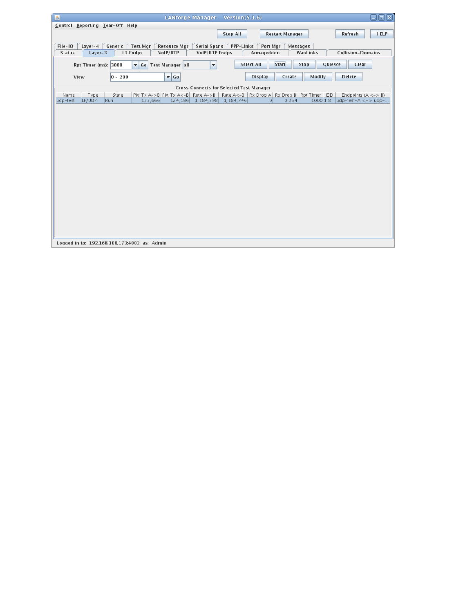| <b>HELP</b><br><b>Stop All</b><br><b>Restart Manager</b><br>Refresh<br>Generic<br>File-IO<br>$Layer-4$<br><b>Test Mgr</b><br><b>Serial Spans</b><br><b>PPP-Links</b><br>Port Mgr<br>Messages<br><b>Resource Mgr</b><br>L3 Endps<br>VoIP/RTP<br>VoIP/RTP Endps<br>Armageddon<br><b>Collision-Domains</b><br><b>Status</b><br>Layer-3<br>WanLinks<br><b>Start</b><br>$\overline{\phantom{a}}$<br><b>Select All</b><br>Stop<br>Quiesce<br>Clear<br>Go Test Manager all<br>Rpt Timer (ms): 3000<br>$\overline{\phantom{a}}$ Go<br>$ 0 - 200$<br><b>Create</b><br>Modify<br><b>Delete</b><br><b>Display</b><br>View<br>-Cross Connects for Selected Test Manager-<br>Pkt Tx A->B Pkt Tx A<-B   Rate A->B   Rate A<-B   Rx Drop A   Rx Drop B   Rpt Timer   EID  <br>State<br>Endpoints $(A \le -> B)$<br>Name<br>Type<br>123,666<br>124, 196 1, 184, 398 1, 184, 746<br>1000 1.8 udp-test-A <= > udp-<br>LF/UDP<br>Run<br>0.254<br>udp-test<br> 0 | $\boxdot$ or<br><b>LANforge Manager</b><br>Version $(5.1.6)$<br>圖 |  |  |  |  |  |  |  |  |  |  |  |
|----------------------------------------------------------------------------------------------------------------------------------------------------------------------------------------------------------------------------------------------------------------------------------------------------------------------------------------------------------------------------------------------------------------------------------------------------------------------------------------------------------------------------------------------------------------------------------------------------------------------------------------------------------------------------------------------------------------------------------------------------------------------------------------------------------------------------------------------------------------------------------------------------------------------------------------------|-------------------------------------------------------------------|--|--|--|--|--|--|--|--|--|--|--|
|                                                                                                                                                                                                                                                                                                                                                                                                                                                                                                                                                                                                                                                                                                                                                                                                                                                                                                                                              | Control Reporting Tear-Off Help                                   |  |  |  |  |  |  |  |  |  |  |  |
|                                                                                                                                                                                                                                                                                                                                                                                                                                                                                                                                                                                                                                                                                                                                                                                                                                                                                                                                              |                                                                   |  |  |  |  |  |  |  |  |  |  |  |
|                                                                                                                                                                                                                                                                                                                                                                                                                                                                                                                                                                                                                                                                                                                                                                                                                                                                                                                                              |                                                                   |  |  |  |  |  |  |  |  |  |  |  |
|                                                                                                                                                                                                                                                                                                                                                                                                                                                                                                                                                                                                                                                                                                                                                                                                                                                                                                                                              |                                                                   |  |  |  |  |  |  |  |  |  |  |  |
|                                                                                                                                                                                                                                                                                                                                                                                                                                                                                                                                                                                                                                                                                                                                                                                                                                                                                                                                              |                                                                   |  |  |  |  |  |  |  |  |  |  |  |
|                                                                                                                                                                                                                                                                                                                                                                                                                                                                                                                                                                                                                                                                                                                                                                                                                                                                                                                                              |                                                                   |  |  |  |  |  |  |  |  |  |  |  |
|                                                                                                                                                                                                                                                                                                                                                                                                                                                                                                                                                                                                                                                                                                                                                                                                                                                                                                                                              |                                                                   |  |  |  |  |  |  |  |  |  |  |  |
|                                                                                                                                                                                                                                                                                                                                                                                                                                                                                                                                                                                                                                                                                                                                                                                                                                                                                                                                              |                                                                   |  |  |  |  |  |  |  |  |  |  |  |
|                                                                                                                                                                                                                                                                                                                                                                                                                                                                                                                                                                                                                                                                                                                                                                                                                                                                                                                                              |                                                                   |  |  |  |  |  |  |  |  |  |  |  |
|                                                                                                                                                                                                                                                                                                                                                                                                                                                                                                                                                                                                                                                                                                                                                                                                                                                                                                                                              |                                                                   |  |  |  |  |  |  |  |  |  |  |  |
|                                                                                                                                                                                                                                                                                                                                                                                                                                                                                                                                                                                                                                                                                                                                                                                                                                                                                                                                              |                                                                   |  |  |  |  |  |  |  |  |  |  |  |
|                                                                                                                                                                                                                                                                                                                                                                                                                                                                                                                                                                                                                                                                                                                                                                                                                                                                                                                                              |                                                                   |  |  |  |  |  |  |  |  |  |  |  |
|                                                                                                                                                                                                                                                                                                                                                                                                                                                                                                                                                                                                                                                                                                                                                                                                                                                                                                                                              |                                                                   |  |  |  |  |  |  |  |  |  |  |  |
|                                                                                                                                                                                                                                                                                                                                                                                                                                                                                                                                                                                                                                                                                                                                                                                                                                                                                                                                              |                                                                   |  |  |  |  |  |  |  |  |  |  |  |
|                                                                                                                                                                                                                                                                                                                                                                                                                                                                                                                                                                                                                                                                                                                                                                                                                                                                                                                                              |                                                                   |  |  |  |  |  |  |  |  |  |  |  |
|                                                                                                                                                                                                                                                                                                                                                                                                                                                                                                                                                                                                                                                                                                                                                                                                                                                                                                                                              |                                                                   |  |  |  |  |  |  |  |  |  |  |  |
|                                                                                                                                                                                                                                                                                                                                                                                                                                                                                                                                                                                                                                                                                                                                                                                                                                                                                                                                              |                                                                   |  |  |  |  |  |  |  |  |  |  |  |
|                                                                                                                                                                                                                                                                                                                                                                                                                                                                                                                                                                                                                                                                                                                                                                                                                                                                                                                                              |                                                                   |  |  |  |  |  |  |  |  |  |  |  |
|                                                                                                                                                                                                                                                                                                                                                                                                                                                                                                                                                                                                                                                                                                                                                                                                                                                                                                                                              |                                                                   |  |  |  |  |  |  |  |  |  |  |  |
|                                                                                                                                                                                                                                                                                                                                                                                                                                                                                                                                                                                                                                                                                                                                                                                                                                                                                                                                              |                                                                   |  |  |  |  |  |  |  |  |  |  |  |
|                                                                                                                                                                                                                                                                                                                                                                                                                                                                                                                                                                                                                                                                                                                                                                                                                                                                                                                                              |                                                                   |  |  |  |  |  |  |  |  |  |  |  |
|                                                                                                                                                                                                                                                                                                                                                                                                                                                                                                                                                                                                                                                                                                                                                                                                                                                                                                                                              |                                                                   |  |  |  |  |  |  |  |  |  |  |  |
|                                                                                                                                                                                                                                                                                                                                                                                                                                                                                                                                                                                                                                                                                                                                                                                                                                                                                                                                              |                                                                   |  |  |  |  |  |  |  |  |  |  |  |
|                                                                                                                                                                                                                                                                                                                                                                                                                                                                                                                                                                                                                                                                                                                                                                                                                                                                                                                                              |                                                                   |  |  |  |  |  |  |  |  |  |  |  |
|                                                                                                                                                                                                                                                                                                                                                                                                                                                                                                                                                                                                                                                                                                                                                                                                                                                                                                                                              |                                                                   |  |  |  |  |  |  |  |  |  |  |  |
|                                                                                                                                                                                                                                                                                                                                                                                                                                                                                                                                                                                                                                                                                                                                                                                                                                                                                                                                              |                                                                   |  |  |  |  |  |  |  |  |  |  |  |
|                                                                                                                                                                                                                                                                                                                                                                                                                                                                                                                                                                                                                                                                                                                                                                                                                                                                                                                                              |                                                                   |  |  |  |  |  |  |  |  |  |  |  |
| Logged in to: 192.168.100.173:4002 as: Admin                                                                                                                                                                                                                                                                                                                                                                                                                                                                                                                                                                                                                                                                                                                                                                                                                                                                                                 |                                                                   |  |  |  |  |  |  |  |  |  |  |  |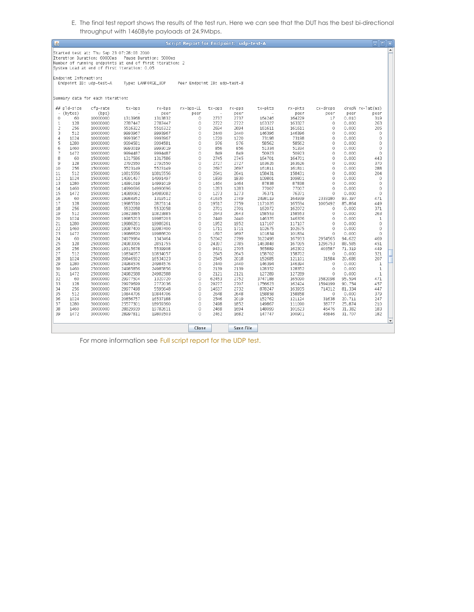E. The final test report shows the results of the test run. Here we can see that the DUT has the best bi-directional throughput with 1460Byte payloads at 24.9Mbps.

| 圖                                   |                       |                                                                                                                                                                                     |                      |                        | <b>Script Report for Endpoint: udp-test-A</b> |                  |                  |                  |                  |               |                 | $\Box$ eix       |                      |
|-------------------------------------|-----------------------|-------------------------------------------------------------------------------------------------------------------------------------------------------------------------------------|----------------------|------------------------|-----------------------------------------------|------------------|------------------|------------------|------------------|---------------|-----------------|------------------|----------------------|
|                                     |                       | Started test at: Thu Sep 23 07:28:03 2010<br>Iteration Duration: 60000ms<br>Number of running endpoints at end of first iteration: 2<br>System Load at end of first iteration: 0.05 |                      | Pause Duration: 5000ms |                                               |                  |                  |                  |                  |               |                 |                  | $\blacktriangle$     |
|                                     | Endpoint Information: | Endpoint ID: udp-test-A                                                                                                                                                             | Type: LANFORGE UDP   |                        | Peer Endpoint ID: udp-test-B                  |                  |                  |                  |                  |               |                 |                  |                      |
|                                     |                       | Summary data for each iteration:                                                                                                                                                    |                      |                        |                                               |                  |                  |                  |                  |               |                 |                  |                      |
|                                     | ## pld-size           | cfg-rate                                                                                                                                                                            | tx-bps               | $rx - bps$             | rx-bps-LL                                     | tx-pps<br>$\sim$ | $rx - pps$       | tx-pkts          | rx-pkts          | cx-drops      |                 | drop% rx-lat(ms) |                      |
| $\overline{\phantom{a}}$<br>$\circ$ | (bytes)<br>60         | (bps)<br>10000000                                                                                                                                                                   | 1313968              | peer<br>1313832        | peer<br>0                                     | 2737             | peer<br>2737     | 164246           | peer<br>164229   | peer<br>17    | peer<br>0.010   | peer<br>319      |                      |
| $\mathbf{1}$                        | 128                   | 10000000                                                                                                                                                                            | 2787447              | 2787447                | 0                                             | 2722             | 2722             | 163327           | 163327           | 0             | 0.000           | 263              |                      |
| $\overline{2}$                      | 256                   | 10000000                                                                                                                                                                            | 5516322              | 5516322                | 0                                             | 2694             | 2694             | 161611           | 161611           | 0             | 0.000           | 205              |                      |
| 3                                   | 512                   | 10000000                                                                                                                                                                            | 9993967              | 9993967                | $\theta$                                      | 2440             | 2440             | 146396           | 146396           | 0             | 0.000           | 0                |                      |
| 4                                   | 1024                  | 10000000                                                                                                                                                                            | 9993967              | 9993967                | 0                                             | 1220             | 1220             | 73198            | 73198            | 0             | 0.000           | 0                |                      |
| 5                                   | 1280                  | 10000000                                                                                                                                                                            | 9994581              | 9994581                | $\circ$                                       | 976              | 976              | 58562            | 58562            | 0             | 0.000           | 0                |                      |
| 6                                   | 1460                  | 10000000                                                                                                                                                                            | 9993019              | 9993019                | 0                                             | 856              | 856              | 51334            | 51334            | $\circ$       | 0.000           | 0                |                      |
| $\overline{7}$<br>8                 | 1472<br>60            | 10000000<br>15000000                                                                                                                                                                | 9994487<br>1317586   | 9994487<br>1317586     | 0<br>0                                        | 849<br>2745      | 849<br>2745      | 50923<br>164701  | 50923<br>164701  | 0<br>0        | 0.000<br>0.000  | 0<br>443         |                      |
| 9                                   | 128                   | 15000000                                                                                                                                                                            | 2792550              | 2792550                | 0                                             | 2727             | 2727             | 163626           | 163626           | 0             | 0.000           | 370              |                      |
| 10                                  | 256                   | 15000000                                                                                                                                                                            | 5523149              | 5523149                | 0                                             | 2697             | 2697             | 161811           | 161811           | 0             | 0.000           | 288              |                      |
| 11                                  | 512                   | 15000000                                                                                                                                                                            | 10815556             | 10815556               | $\circ$                                       | 2641             | 2641             | 158431           | 158431           | 0             | 0.000           | 204              |                      |
| 12                                  | 1024                  | 15000000                                                                                                                                                                            | 14991497             | 14991497               | $\circ$                                       | 1830             | 1830             | 109801           | 109801           | 0             | 0.000           | 0                |                      |
| 13                                  | 1280                  | 15000000                                                                                                                                                                            | 14991019             | 14991019               | $\circ$                                       | 1464             | 1464             | 87838            | 87838            | 0             | 0.000           | $\Omega$         |                      |
| 14                                  | 1460                  | 15000000                                                                                                                                                                            | 14990696             | 14990696               | 0                                             | 1283             | 1283             | 77007            | 77007            | 0             | 0.000           | 0                |                      |
| 15                                  | 1472                  | 15000000                                                                                                                                                                            | 14989082             | 14989082               | 0                                             | 1273             | 1273             | 76371            | 76371            | 0             | 0.000           | 0                |                      |
| 16                                  | 60                    | 20000000                                                                                                                                                                            | 19984952             | 1319512                | 0                                             | 41635            | 2749             | 2498119          | 164939           | 2333180       | 93.397          | 471              |                      |
| 17                                  | 128                   | 20000000                                                                                                                                                                            | 19985510             | 2825114                | 0                                             | 19517            | 2759             | 1171026          | 165534           | 1005492       | 85.864          | 449              |                      |
| 18                                  | 256                   | 20000000                                                                                                                                                                            | 5532058              | 5532058                | $\circ$                                       | 2701             | 2701             | 162072           | 162072           | 0             | 0.000           | 371              |                      |
| 19                                  | 512                   | 20000000                                                                                                                                                                            | 10823885             | 10823885               | 0                                             | 2643             | 2643             | 158553           | 158553           | 0             | 0.000           | 263              |                      |
| 20                                  | 1024                  | 20000000                                                                                                                                                                            | 19985203             | 19985203               | 0                                             | 2440             | 2440             | 146376           | 146376           | 0             | 0.000           | 1                |                      |
| 21<br>22                            | 1280<br>1460          | 20000000<br>20000000                                                                                                                                                                | 19986261<br>19987400 | 19986261<br>19987400   | $\circ$<br>0                                  | 1952<br>1711     | 1952<br>1711     | 117107<br>102675 | 117107<br>102675 | 0<br>$\theta$ | 0.000<br>0.000  | 0<br>0           |                      |
| 23                                  | 1472                  | 20000000                                                                                                                                                                            | 19986620             | 19986620               | 0                                             | 1697             | 1697             | 101834           | 101834           | 0             | 0.000           | 0                |                      |
| 24                                  | 60                    | 25000000                                                                                                                                                                            | 24979984             | 1343464                | 0                                             | 52042            | 2799             | 3122498          | 167933           | 2954565       | 94.622          | 469              |                      |
| 25                                  | 128                   | 25000000                                                                                                                                                                            | 24983006             | 2851755                | 0                                             | 24397            | 2785             | 1463848          | 167095           | 1296753       | 88.585          | 451              |                      |
| 26                                  | 256                   | 25000000                                                                                                                                                                            | 19315678             | 5539908                | $\theta$                                      | 9431             | 2705             | 565889           | 162302           | 403587        | 71.319          | 449              |                      |
| 27                                  | 512                   | 25000000                                                                                                                                                                            | 10834057             | 10834057               | $\circ$                                       | 2645             | 2645             | 158702           | 158702           | 0             | 0.000           | 321              |                      |
| 28                                  | 1024                  | 25000000                                                                                                                                                                            | 20846592             | 16534323               | $\circ$                                       | 2545             | 2018             | 152685           | 121101           | 31584         | 20.686          | 207              |                      |
| 29                                  | 1280                  | 25000000                                                                                                                                                                            | 24984576             | 24984576               | 0                                             | 2440             | 2440             | 146394           | 146394           | 0             | 0.000           | $\mathbf{1}$     |                      |
| 30                                  | 1460                  | 25000000                                                                                                                                                                            | 24985856             | 24985856               | 0                                             | 2139             | 2139             | 128352           | 128352           | 0             | 0.000           | $\mathbf{1}$     |                      |
| 31                                  | 1472                  | 25000000                                                                                                                                                                            | 24982588             | 24982588               | 0                                             | 2121             | 2121             | 127289           | 127289           | 0             | 0.000           | $\mathbf{1}$     |                      |
| 32                                  | 60                    | 30000000                                                                                                                                                                            | 29977504             | 1320720                | 0                                             | 62453            | 2752             | 3747188          | 165090           | 3582098       | 95.594          | 471              |                      |
| 33                                  | 128                   | 30000000                                                                                                                                                                            | 29979699             | 2772036                | $\circ$                                       | 29277            | 2707             | 1756623          | 162424           | 1594199       | 90.754          | 457              |                      |
| 34                                  | 256                   | 30000000                                                                                                                                                                            | 29977498             | 5595648                | $\circ$                                       | 14637            | 2732             | 878247           | 163935           | 714312        | 81.334          | 447              |                      |
| 35<br>36                            | 512<br>1024           | 30000000<br>30000000                                                                                                                                                                | 10844706<br>20856757 | 10844706<br>16537188   | $\circ$<br>$\circ$                            | 2648<br>2546     | 2648<br>2019     | 158858<br>152762 | 158858<br>121124 | 0<br>31638    | 0.000<br>20.711 | 379<br>247       |                      |
| 37                                  | 1280                  | 30000000                                                                                                                                                                            | 25577301             | 18959360               | 0                                             | 2498             | 1852             | 149867           | 111090           | 38777         | 25.874          | 210              |                      |
| 38                                  | 1460                  | 30000000                                                                                                                                                                            | 28829939             | 19782611               | 0                                             | 2468             | 1694             | 148099           | 101623           | 46476         | 31,382          | 183              |                      |
| 39                                  | 1472                  | 30000000                                                                                                                                                                            | 28997811             | 19803503               | 0                                             | 2462             | 1682             | 147747           | 100901           | 46846         | 31.707          | 182              |                      |
|                                     |                       |                                                                                                                                                                                     |                      |                        |                                               |                  |                  |                  |                  |               |                 |                  | $\blacktriangledown$ |
|                                     |                       |                                                                                                                                                                                     |                      |                        | Close                                         |                  | <b>Save File</b> |                  |                  |               |                 |                  |                      |
|                                     |                       |                                                                                                                                                                                     |                      |                        |                                               |                  |                  |                  |                  |               |                 |                  |                      |

For more information see Full script [report](http://www.candelatech.com/lanforge_v3/cb/ex3_udp_script_report.txt) for the UDP test.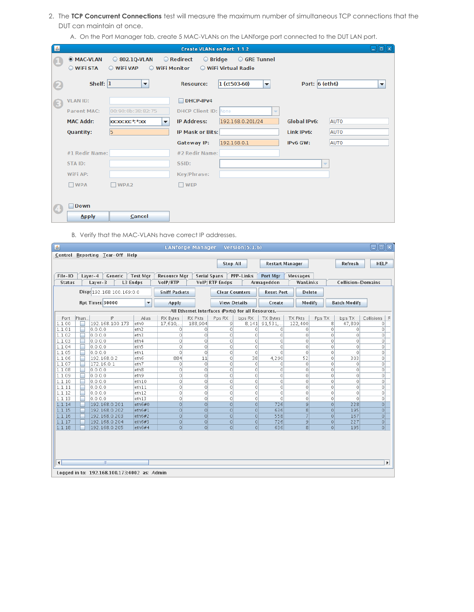- 2. The **TCP Concurrent Connections** test will measure the maximum number of simultaneous TCP connections that the DUT can maintain at once.
	- A. On the Port Manager tab, create 5 MAC-VLANs on the LANforge port connected to the DUT LAN port.

| 圖          |                    |                                                       | Create VLANs on Port: 1.1.2            |                                             |                          | an<br>$\sqrt{8}$         |
|------------|--------------------|-------------------------------------------------------|----------------------------------------|---------------------------------------------|--------------------------|--------------------------|
| Œ          | <b>MAC-VLAN</b>    | 802.10-VLAN                                           | <b>C</b> Redirect<br>$\bigcirc$ Bridge | GRE Tunnel                                  |                          |                          |
|            | WIFI STA           | ○ WiFi VAP<br>WiFi Monitor                            |                                        | ○ WiFi Virtual Radio                        |                          |                          |
| 2          | Shelf: $ 1 $       | $\blacktriangledown$                                  | <b>Resource:</b>                       | $ 1 (ct503-60)$<br>$\overline{\phantom{a}}$ | Port: $6$ (eth6)         | $\overline{\phantom{a}}$ |
|            |                    |                                                       |                                        |                                             |                          |                          |
| $\bigcirc$ | <b>VLAN ID:</b>    |                                                       | DHCP-IPv4                              |                                             |                          |                          |
|            | <b>Parent MAC:</b> | 00:90:0b:38:82:75                                     | <b>DHCP Client ID: None</b>            | ÷                                           |                          |                          |
|            | <b>MAC Addr:</b>   | <b>XX:XX:XX: *: *: XX</b><br>$\overline{\phantom{a}}$ | <b>IP Address:</b>                     | 192.168.0.201/24                            | <b>Global IPv6:</b>      | <b>AUTO</b>              |
|            | <b>Quantity:</b>   | 5                                                     | <b>IP Mask or Bits:</b>                |                                             | Link IPv6:               | <b>AUTO</b>              |
|            |                    |                                                       | Gateway IP:                            | 192.168.0.1                                 | IPv6 GW:                 | <b>AUTO</b>              |
|            | #1 Redir Name:     |                                                       | #2 Redir Name:                         |                                             |                          |                          |
|            | STA ID:            |                                                       | SSID:                                  |                                             | $\overline{\phantom{a}}$ |                          |
|            | WiFi AP:           |                                                       | Key/Phrase:                            |                                             |                          |                          |
|            | $\Box$ WPA         | WPA <sub>2</sub><br>п                                 | <b>WEP</b>                             |                                             |                          |                          |
|            |                    |                                                       |                                        |                                             |                          |                          |
| $\bf{C}$   | <b>Down</b>        |                                                       |                                        |                                             |                          |                          |
|            | <b>Apply</b>       | Cancel                                                |                                        |                                             |                          |                          |

B. Verify that the MAC-VLANs have correct IP addresses.

| 圖                                                                                                                               | eioixi<br><b>LANforge Manager</b><br>Version $(5.1.6)$                                                                                                                                                       |                          |                      |                                                                 |                     |                       |                        |                    |                |                          |                       |  |
|---------------------------------------------------------------------------------------------------------------------------------|--------------------------------------------------------------------------------------------------------------------------------------------------------------------------------------------------------------|--------------------------|----------------------|-----------------------------------------------------------------|---------------------|-----------------------|------------------------|--------------------|----------------|--------------------------|-----------------------|--|
|                                                                                                                                 | Control Reporting Tear-Off Help                                                                                                                                                                              |                          |                      |                                                                 |                     |                       |                        |                    |                |                          |                       |  |
|                                                                                                                                 |                                                                                                                                                                                                              |                          |                      |                                                                 | <b>Stop All</b>     |                       | <b>Restart Manager</b> |                    |                | Refresh                  | <b>HELP</b>           |  |
|                                                                                                                                 |                                                                                                                                                                                                              |                          |                      |                                                                 |                     |                       |                        |                    |                |                          |                       |  |
| File-IO                                                                                                                         | Generic<br>Layer-4                                                                                                                                                                                           | <b>Test Mgr</b>          | <b>Resource Mar</b>  | PPP-Links<br><b>Serial Spans</b><br>Port Mgr<br><b>Messages</b> |                     |                       |                        |                    |                |                          |                       |  |
| <b>Status</b>                                                                                                                   | $Layer-3$                                                                                                                                                                                                    | L3 Endps                 | VoIP/RTP             |                                                                 | VoIP/RTP Endps      |                       | Armageddon             | WanLinks           |                | <b>Collision-Domains</b> |                       |  |
|                                                                                                                                 |                                                                                                                                                                                                              |                          |                      |                                                                 |                     |                       | <b>Reset Port</b>      |                    |                |                          |                       |  |
|                                                                                                                                 | Disp: 192.168.100.169:0.0                                                                                                                                                                                    |                          | <b>Sniff Packets</b> |                                                                 |                     | <b>Clear Counters</b> |                        | <b>Delete</b>      |                |                          |                       |  |
|                                                                                                                                 | <b>Rpt Timer: 30000</b><br>▼                                                                                                                                                                                 |                          |                      |                                                                 | <b>View Details</b> |                       | Create                 | Modify             |                | <b>Batch Modify</b>      |                       |  |
|                                                                                                                                 |                                                                                                                                                                                                              |                          |                      |                                                                 |                     |                       |                        |                    |                |                          |                       |  |
| Port                                                                                                                            | -All Ethernet Interfaces (Ports) for all Resources.-<br>Phan.<br>IP<br><b>RX Pkts</b><br>Alias<br><b>RX Bytes</b><br>Pps RX<br>bps RX<br>TX Bytes<br><b>TX Pkts</b><br>Pps TX<br>bps TX<br>Collisions<br>I R |                          |                      |                                                                 |                     |                       |                        |                    |                |                          |                       |  |
| 188,904<br>122,400<br>47,809<br>1.1.00<br>192.168.100.173<br>17,610<br>9<br>8.141<br>91.531<br>8<br>eth <sub>0</sub><br>$\circ$ |                                                                                                                                                                                                              |                          |                      |                                                                 |                     |                       |                        |                    |                |                          |                       |  |
| 1.1.01<br>0.0.0.0<br>eth <sub>2</sub><br>$\circ$<br>$\circ$<br>$\circ$<br>$\circ$<br>0<br>0<br>$\circ$<br>0<br>0                |                                                                                                                                                                                                              |                          |                      |                                                                 |                     |                       |                        |                    |                |                          |                       |  |
| 1.1.02                                                                                                                          | 0.0.0.0                                                                                                                                                                                                      | leth3                    | $\circ$              | 0                                                               | $\circ$             | 0                     | $\circ$                | 0                  | $\circ$        | 0                        | $\circ$               |  |
| 1.1.03                                                                                                                          | 0.0.0.0                                                                                                                                                                                                      | eth4                     | $\circ$              | $\circ$                                                         | $\circ$             | 0                     | $\circ$                | 0                  | $\Omega$       | $\Omega$                 | $\circ$               |  |
| 1.1.04                                                                                                                          | 0.0.0.0                                                                                                                                                                                                      | eth5                     | $\circ$              | $\circ$                                                         | $\circ$             | 0                     | $\circ$                | $\circ$            | $\circ$        | $\Omega$                 | $\circ$               |  |
| 1.1.05                                                                                                                          | 0.0.0.0                                                                                                                                                                                                      | eth <sub>1</sub>         | $\circ$              | $\circ$                                                         | $\circ$             | $\circ$               | $\circ$                | $\circ$            | $\circ$        | $\Omega$                 | $\circ$               |  |
| 1.1.06                                                                                                                          | 192.168.0.2                                                                                                                                                                                                  | eth6                     | 884                  | 11                                                              | 0                   | 38                    | 4,290                  | 52                 | 0              | 303                      | $\circ$               |  |
| 1.1.07                                                                                                                          | 172.16.0.1                                                                                                                                                                                                   | eth7                     | $\circ$              | 0                                                               | 0<br>$\circ$        | 0                     | $\circ$<br>$\circ$     | 0                  | 0<br>$\circ$   | $\Omega$                 | $\circ$               |  |
| 1.1.08<br>1.1.09                                                                                                                | 0.0.0.0                                                                                                                                                                                                      | eth <sub>8</sub><br>eth9 | $\circ$              | $\circ$<br>$\circ$                                              | $\circ$             | 0<br>0                |                        | $\circ$<br>$\circ$ | $\circ$        | 0<br>$\circ$             | $\circ$<br>$\circ$    |  |
| 1.1.10                                                                                                                          | 0.0.0.0<br>0.0.0.0                                                                                                                                                                                           | eth <sub>10</sub>        | $\circ$<br>$\circ$   | $\circ$                                                         | $\circ$             | 0                     | $\circ$<br>$\circ$     | 0                  | 0              | $\Omega$                 | $\circ$               |  |
| 1.1.11                                                                                                                          | 0.0.0.0                                                                                                                                                                                                      | eth11                    | $\circ$              | 0                                                               | $\circ$             | 0                     | $\circ$                | 0                  | $\Omega$       | $\Omega$                 | $\circ$               |  |
| 1.1.12                                                                                                                          | 0.0.0.0                                                                                                                                                                                                      | eth <sub>12</sub>        | $\circ$              | $\circ$                                                         | $\Omega$            | $\Omega$              | $\circ$                | $\circ$            | $\Omega$       | $\Omega$                 | $\circ$               |  |
| 1.1.13                                                                                                                          | 0.0.0.0                                                                                                                                                                                                      | eth <sub>13</sub>        | $\circ$              | $\circ$                                                         | 0                   | 0                     | $\circ$                | $\circ$            | $\circ$        | $\Omega$                 | $\circ$               |  |
| 1.1.14                                                                                                                          | 192.168.0.201                                                                                                                                                                                                | eth6#0                   | $\overline{0}$       | $\Omega$                                                        | $\Omega$            | $\Omega$              | 726                    | $\overline{9}$     | $\circ$        | 228                      | 0                     |  |
| 1.1.15                                                                                                                          | 192.168.0.202                                                                                                                                                                                                | $ $ eth $6#1$            | $\Omega$             | $\Omega$                                                        | $\Omega$            | $\circ$               | 636                    | 8                  | $\Omega$       | 195                      | 0                     |  |
| 1.1.16                                                                                                                          | 192.168.0.203                                                                                                                                                                                                | eth6#2                   | $\overline{0}$       | $\circ$                                                         | $\Omega$            | $\circ$               | 558                    | $\overline{7}$     | $\circ$        | 167                      | 0                     |  |
| 1.1.17                                                                                                                          | 192.168.0.204                                                                                                                                                                                                | eth6#3                   | $\overline{0}$       | $\circ$                                                         | $\circ$             | $\circ$               | 726                    | $\mathcal{G}$      | $\overline{0}$ | 227                      | $\circ$               |  |
| 1.1.18                                                                                                                          | 192.168.0.205                                                                                                                                                                                                | eth6#4                   | $\circ$              | $\Omega$                                                        | $\Omega$            | $\Omega$              | 636                    | 8 <sup>1</sup>     | $\Omega$       | 195                      | $\overline{0}$        |  |
|                                                                                                                                 |                                                                                                                                                                                                              |                          |                      |                                                                 |                     |                       |                        |                    |                |                          |                       |  |
|                                                                                                                                 |                                                                                                                                                                                                              |                          |                      |                                                                 |                     |                       |                        |                    |                |                          |                       |  |
|                                                                                                                                 |                                                                                                                                                                                                              |                          |                      |                                                                 |                     |                       |                        |                    |                |                          |                       |  |
|                                                                                                                                 |                                                                                                                                                                                                              |                          |                      |                                                                 |                     |                       |                        |                    |                |                          |                       |  |
| $\left  \cdot \right $                                                                                                          | $\mathbb{I}$                                                                                                                                                                                                 |                          |                      |                                                                 |                     |                       |                        |                    |                |                          | $\blacktriangleright$ |  |
|                                                                                                                                 |                                                                                                                                                                                                              |                          |                      |                                                                 |                     |                       |                        |                    |                |                          |                       |  |
|                                                                                                                                 | Logged in to: 192.168.100.173:4002 as: Admin                                                                                                                                                                 |                          |                      |                                                                 |                     |                       |                        |                    |                |                          |                       |  |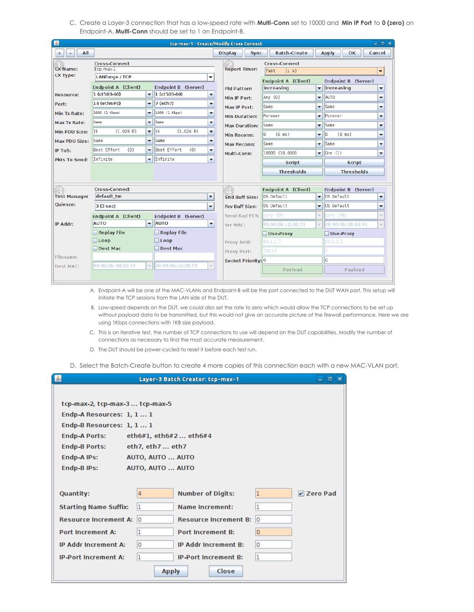C. Create a Layer-3 connection that has a low-speed rate with **Multi-Conn** set to 10000 and **Min IP Port** to **0 (zero)** on Endpoint-A. **Multi-Conn** should be set to 1 on Endpoint-B.

| 图                    |                            |                          |                            |                          | tcp-max-1 - Create/Modify Cross Connect |                                        |                          | <b>P</b><br>ہے                                |
|----------------------|----------------------------|--------------------------|----------------------------|--------------------------|-----------------------------------------|----------------------------------------|--------------------------|-----------------------------------------------|
| All<br>$^{+}$        |                            |                          |                            |                          | <b>Display</b><br><b>Sync</b>           | <b>Batch-Create</b>                    |                          | Cancel<br><b>Apply</b><br><b>OK</b>           |
|                      | <b>Cross-Connect</b>       |                          |                            |                          |                                         | <b>Cross-Connect</b>                   |                          |                                               |
| <b>CX Name:</b>      | tcp-max-1                  |                          |                            |                          | <b>Report Timer:</b>                    | fast<br>(1 s)                          |                          | $\overline{\phantom{a}}$                      |
| <b>CX Type:</b>      | <b>LANforge / TCP</b>      |                          |                            | ▼                        |                                         | <b>Endpoint A (Client)</b>             |                          | <b>Endpoint B (Server)</b>                    |
|                      | <b>Endpoint A (Client)</b> |                          | <b>Endpoint B (Server)</b> |                          | <b>Pld Pattern</b>                      | increasing<br>$\overline{\phantom{a}}$ |                          | increasing<br>▼                               |
| <b>Resource:</b>     | 1 (ct503-60)               | $\overline{\phantom{a}}$ | $ 1 (ct503-60)$            | ٠                        | Min IP Port:                            | Any $(0)$                              | $\overline{\phantom{a}}$ | <b>AUTO</b><br>▼                              |
| Port:                | 14 (eth6#0)                | $\overline{\phantom{a}}$ | 7 (eth7)                   | ▼                        | Max IP Port:                            | Same                                   | ▼                        | Same<br>▼                                     |
| <b>Min Tx Rate:</b>  | 1000 (1 Kbps)              | $\overline{\phantom{a}}$ | 1000 (1 Kbps)              | ▼                        | <b>Min Duration:</b>                    | Forever                                | ▼                        | Forever<br>▼                                  |
| Max Tx Rate:         | Same                       | $\overline{\phantom{a}}$ | <b>Same</b>                | ٠                        | <b>Max Duration:</b>                    | Same                                   | $\overline{\phantom{0}}$ | Same<br>▼                                     |
| Min PDU Size:        | l1k<br>(1.024 B)           | ٠                        | 1k <br>(1.024 B)           | ▼                        | <b>Min Reconn:</b>                      | I٥<br>$(0 \text{ ms})$                 | ▼                        | l0<br>$(0 \text{ ms})$<br>▼                   |
| <b>Max PDU Size:</b> | <b>Same</b>                | $\overline{\phantom{a}}$ | <b>Same</b>                | ▼                        | <b>Max Reconn:</b>                      | Same                                   | $\overline{\phantom{0}}$ | Same<br>▼                                     |
| <b>IP ToS:</b>       | Best Effort<br>(0)         | $\overline{\phantom{a}}$ | Best Effort<br>(0)         | $\overline{\phantom{a}}$ | Multi-Conn:                             | 10000 (10,000)                         | $\overline{\phantom{a}}$ | One(1) <br>$\overline{\phantom{a}}$           |
| <b>Pkts To Send:</b> | Infinite                   | $\overline{\phantom{a}}$ | Infinite                   | ٠                        |                                         | <b>Script</b>                          |                          | <b>Script</b>                                 |
|                      |                            |                          |                            |                          |                                         | <b>Thresholds</b>                      |                          | <b>Thresholds</b>                             |
|                      |                            |                          |                            |                          |                                         |                                        |                          |                                               |
|                      | <b>Cross-Connect</b>       |                          |                            |                          |                                         | <b>Endpoint A (Client)</b>             |                          | <b>Endpoint B (Server)</b>                    |
| <b>Test Manager</b>  | default tm                 |                          |                            | $\blacktriangledown$     | <b>Snd Buff Size:</b>                   | OS Default                             | $\overline{\phantom{a}}$ | OS Default<br>▼                               |
| <b>Quiesce:</b>      | $3(3 \text{ sec})$         |                          |                            | ▼                        | <b>Rcv Buff Size:</b>                   | OS Default                             | $\overline{\phantom{a}}$ | lOS Default<br>▼                              |
|                      | <b>Endpoint A (Client)</b> |                          | <b>Endpoint B (Server)</b> |                          | Send Bad FCS:                           | zero (O%)                              | ÷                        | zero (O%)<br>÷                                |
| IP Addr:             | <b>AUTO</b>                | $\overline{\phantom{a}}$ | <b>AUTO</b>                | $\overline{\phantom{a}}$ | <b>Src MAC:</b>                         | 00:90:0b:c2:28:73                      | $\overline{\phantom{a}}$ | 00:90:0b:38:82:74<br>$\overline{\phantom{0}}$ |
|                      | Replay File                |                          | Replay File                |                          |                                         | Use-Proxy                              |                          | Use-Proxy                                     |
|                      | $\Box$ Loop                | $\Box$ Loop              |                            |                          | Proxy Addr:                             | 86.1.1.7                               |                          | 86.1.1.8                                      |
|                      | Dest Mac                   |                          | Dest Mac                   |                          | <b>Proxy Port:</b>                      | 33010                                  |                          | O                                             |
| Filename:            |                            |                          |                            |                          | Socket Priority: 0                      |                                        |                          | o                                             |
| Dest MAC:            | 00:90:0b:38:82:74          | ÷                        | 00:90:0b:c2:28:73          |                          |                                         | Payload                                |                          | Payload                                       |
|                      |                            |                          |                            |                          |                                         |                                        |                          |                                               |

A. Endpoint-A will be one of the MAC-VLANs and Endpoint-B will be the port connected to the DUT WAN port. This setup will initiate the TCP sessions from the LAN side of the DUT.

- B. Low-speed depends on the DUT, we could also set the rate to zero which would allow the TCP connections to be set up without payload data to be transmitted, but this would not give an accurate picture of the firewall performance. Here we are using 1Kbps connections with 1KB size payload.
- C. This is an iterative test, the number of TCP connections to use will depend on the DUT capabilities. Modify the number of connections as necessary to find the most accurate measurement.
- D. The DUT should be power-cycled to reset it before each test run.

D. Select the Batch-Create button to create 4 more copies of this connection each with a new MAC-VLAN port.

| 画                                                                      | – 10 x<br>Layer-3 Batch Creator: tcp-max-1 |                              |         |            |  |  |  |  |  |  |  |  |  |
|------------------------------------------------------------------------|--------------------------------------------|------------------------------|---------|------------|--|--|--|--|--|--|--|--|--|
|                                                                        |                                            |                              |         |            |  |  |  |  |  |  |  |  |  |
| tcp-max-2, tcp-max-3 tcp-max-5                                         |                                            |                              |         |            |  |  |  |  |  |  |  |  |  |
|                                                                        | Endp-A Resources: 1, 1 1                   |                              |         |            |  |  |  |  |  |  |  |  |  |
| Endp-B Resources: 1, 1 1                                               |                                            |                              |         |            |  |  |  |  |  |  |  |  |  |
| <b>Endp-A Ports:</b><br>eth $6#1$ , eth $6#2$ eth $6#4$                |                                            |                              |         |            |  |  |  |  |  |  |  |  |  |
| <b>Endp-B Ports:</b><br>eth7, eth7 eth7                                |                                            |                              |         |            |  |  |  |  |  |  |  |  |  |
| Endp-A IPs:<br>AUTO, AUTO  AUTO                                        |                                            |                              |         |            |  |  |  |  |  |  |  |  |  |
| Endp-B IPs:<br>AUTO, AUTO  AUTO                                        |                                            |                              |         |            |  |  |  |  |  |  |  |  |  |
|                                                                        |                                            |                              |         |            |  |  |  |  |  |  |  |  |  |
| Quantity:                                                              | $\overline{4}$                             | <b>Number of Digits:</b>     |         | V Zero Pad |  |  |  |  |  |  |  |  |  |
| <b>Starting Name Suffix:</b>                                           | 1                                          | <b>Name Increment:</b>       |         |            |  |  |  |  |  |  |  |  |  |
| Resource Increment A: 0                                                |                                            | <b>Resource Increment B:</b> | l0      |            |  |  |  |  |  |  |  |  |  |
| <b>Port Increment A:</b>                                               | ٦                                          | <b>Port Increment B:</b>     | $\circ$ |            |  |  |  |  |  |  |  |  |  |
| <b>IP Addr Increment A:</b><br>١o<br><b>IP Addr Increment B:</b><br>l0 |                                            |                              |         |            |  |  |  |  |  |  |  |  |  |
| <b>IP-Port Increment A:</b>                                            | Iı<br>1<br><b>IP-Port Increment B:</b>     |                              |         |            |  |  |  |  |  |  |  |  |  |
| Close<br><b>Apply</b>                                                  |                                            |                              |         |            |  |  |  |  |  |  |  |  |  |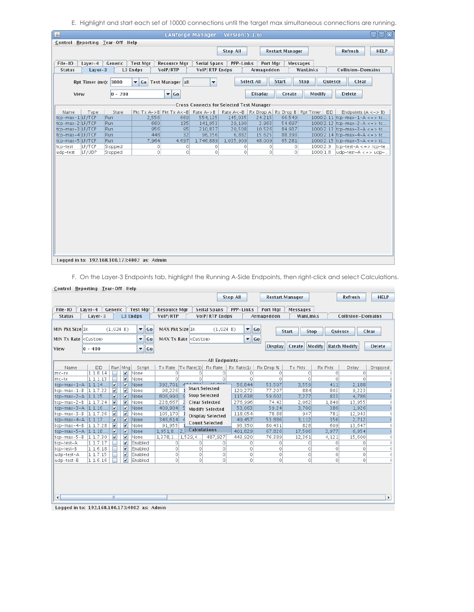E. Highlight and start each set of 10000 connections until the target max simultaneous connections are running.

| 圖                                                                                                                                             | aoxi<br><b>LANforge Manager</b><br>Version $(5.1.6)$ |                     |                             |                          |                  |                   |                        |                 |                                    |  |  |  |
|-----------------------------------------------------------------------------------------------------------------------------------------------|------------------------------------------------------|---------------------|-----------------------------|--------------------------|------------------|-------------------|------------------------|-----------------|------------------------------------|--|--|--|
| Control Reporting Tear-Off Help                                                                                                               |                                                      |                     |                             |                          |                  |                   |                        |                 |                                    |  |  |  |
|                                                                                                                                               |                                                      |                     |                             |                          | <b>Stop All</b>  |                   | <b>Restart Manager</b> |                 | <b>HELP</b><br>Refresh             |  |  |  |
|                                                                                                                                               |                                                      |                     |                             |                          |                  |                   |                        |                 |                                    |  |  |  |
| File-IO<br>Layer-4                                                                                                                            | Generic                                              | <b>Test Mgr</b>     | <b>Resource Mar</b>         | <b>Serial Spans</b>      | <b>PPP-Links</b> | Port Mgr          | <b>Messages</b>        |                 |                                    |  |  |  |
| $Layer-3$<br><b>Status</b>                                                                                                                    |                                                      | L3 Endps            | VoIP/RTP                    | VolP/RTP Endps           |                  | Armageddon        |                        | WanLinks        | <b>Collision-Domains</b>           |  |  |  |
|                                                                                                                                               |                                                      |                     |                             |                          |                  |                   |                        |                 |                                    |  |  |  |
| Rpt Timer (ms): 3000                                                                                                                          |                                                      | Go Test Manager all |                             | $\overline{\phantom{a}}$ |                  | <b>Select All</b> | <b>Start</b>           | Stop<br>Quiesce | Clear                              |  |  |  |
| View                                                                                                                                          | $0 - 200$                                            |                     | $\overline{\phantom{a}}$ Go |                          |                  | <b>Display</b>    | Create                 | Modify          | <b>Delete</b>                      |  |  |  |
|                                                                                                                                               | Cross Connects for Selected Test Manager-            |                     |                             |                          |                  |                   |                        |                 |                                    |  |  |  |
| Pkt Tx A->B Pkt Tx A<-B Rate A->B<br>Rate A<-B   Rx Drop A   Rx Drop B   Rpt Timer   EID<br>Type<br>State<br>Endpoints $(A \le -> B)$<br>Name |                                                      |                     |                             |                          |                  |                   |                        |                 |                                    |  |  |  |
| 554,125<br>145,035<br>1000 2.11 tcp-max-1-A $\lt$ = > tc<br>$tcp$ -max-1 $ LF/TCP $<br>Run<br>2,556<br>24.215<br>66.549<br>669                |                                                      |                     |                             |                          |                  |                   |                        |                 |                                    |  |  |  |
| tcp-max-2 LF/TCP                                                                                                                              | Run.                                                 | 660                 | 135                         | 141,953                  | 29,190           | 2.963             | 54.697                 |                 | 1000 2.12 tcp-max-2-A <= > tc      |  |  |  |
| tcp-max-3 LF/TCP                                                                                                                              | Run                                                  | 956                 | 95                          | 210,837                  | 20,508           | 10.526            | 84.937                 |                 | 1000 2.13 tcp-max-3-A $\lt$ = > tc |  |  |  |
| tcp-max-4 LF/TCP                                                                                                                              | Run                                                  | 448                 | 32                          | 96.356                   | 6,882            | 15.625            | 88.393                 |                 | 1000 2.14 tcp-max-4-A $\lt$ = > tc |  |  |  |
| tcp-max-5 LF/TCP                                                                                                                              | Run                                                  | 7,964               | 4,697                       | 1,746,889                | 1,035,909        | 48.009            | 65.281                 |                 | 1000 2.15 tcp-max-5-A $\lt$ = > tc |  |  |  |
| LF/TCP<br>tcp-test                                                                                                                            | Stopped                                              | $\circ$             | $\circ$                     | $\Omega$                 | $\circ$          | $\circ$           | $\circ$                | 10002.9         | $tcp-test-A \lt = > tcp-te.$       |  |  |  |
| LF/UDP<br>udp-test                                                                                                                            | Stopped                                              | $\circ$             | $\circ$                     | $\circ$                  | $\circ$          | $\circ$           | $\circ$                | 1000 1.8        | $udp-test-A \lt = > udp-.$         |  |  |  |
|                                                                                                                                               |                                                      |                     |                             |                          |                  |                   |                        |                 |                                    |  |  |  |
|                                                                                                                                               |                                                      |                     |                             |                          |                  |                   |                        |                 |                                    |  |  |  |
|                                                                                                                                               |                                                      |                     |                             |                          |                  |                   |                        |                 |                                    |  |  |  |
|                                                                                                                                               |                                                      |                     |                             |                          |                  |                   |                        |                 |                                    |  |  |  |
|                                                                                                                                               |                                                      |                     |                             |                          |                  |                   |                        |                 |                                    |  |  |  |
|                                                                                                                                               |                                                      |                     |                             |                          |                  |                   |                        |                 |                                    |  |  |  |
|                                                                                                                                               |                                                      |                     |                             |                          |                  |                   |                        |                 |                                    |  |  |  |
|                                                                                                                                               |                                                      |                     |                             |                          |                  |                   |                        |                 |                                    |  |  |  |
|                                                                                                                                               |                                                      |                     |                             |                          |                  |                   |                        |                 |                                    |  |  |  |
|                                                                                                                                               |                                                      |                     |                             |                          |                  |                   |                        |                 |                                    |  |  |  |
|                                                                                                                                               |                                                      |                     |                             |                          |                  |                   |                        |                 |                                    |  |  |  |
|                                                                                                                                               |                                                      |                     |                             |                          |                  |                   |                        |                 |                                    |  |  |  |
|                                                                                                                                               |                                                      |                     |                             |                          |                  |                   |                        |                 |                                    |  |  |  |
|                                                                                                                                               |                                                      |                     |                             |                          |                  |                   |                        |                 |                                    |  |  |  |
|                                                                                                                                               |                                                      |                     |                             |                          |                  |                   |                        |                 |                                    |  |  |  |
| Logged in to: 192.168.100.173:4002 as: Admin                                                                                                  |                                                      |                     |                             |                          |                  |                   |                        |                 |                                    |  |  |  |

F. On the Layer-3 Endpoints tab, highlight the Running A-Side Endpoints, then right-click and select Calculations.

| Control Reporting Tear-Off Help                                                                                                                                         |           |                         |                          |                          |    |                               |                       |                         |                 |                          |                |                             |         |                          |                       |  |
|-------------------------------------------------------------------------------------------------------------------------------------------------------------------------|-----------|-------------------------|--------------------------|--------------------------|----|-------------------------------|-----------------------|-------------------------|-----------------|--------------------------|----------------|-----------------------------|---------|--------------------------|-----------------------|--|
|                                                                                                                                                                         |           |                         |                          |                          |    |                               |                       |                         | <b>Stop All</b> |                          |                | Restart Manager             |         | Refresh                  | <b>HELP</b>           |  |
|                                                                                                                                                                         |           |                         |                          |                          |    |                               |                       |                         |                 |                          |                |                             |         |                          |                       |  |
| File-IO                                                                                                                                                                 | $Layer-4$ | Generic                 |                          | <b>Test Mgr</b>          |    | <b>Resource Mgr</b>           |                       | <b>Serial Spans</b>     | PPP-Links       |                          | Port Mgr       | Messages                    |         |                          |                       |  |
| <b>Status</b>                                                                                                                                                           | $Layer-3$ |                         |                          | L3 Endps                 |    | VoIP/RTP                      |                       | VolP/RTP Endps          |                 |                          | Armageddon     | WanLinks                    |         | <b>Collision-Domains</b> |                       |  |
|                                                                                                                                                                         |           |                         |                          |                          |    |                               |                       |                         |                 |                          |                |                             |         |                          |                       |  |
| MIN Pkt Size 1k                                                                                                                                                         |           | (1, 024 B)              |                          | $\overline{\phantom{a}}$ | Go | MAX Pkt Size 1k               |                       | (1,024 B)               |                 | $\overline{\phantom{a}}$ | Go             | <b>Stop</b><br><b>Start</b> |         | Quiesce                  | Clear                 |  |
| MIN Tx Rate <custom></custom>                                                                                                                                           |           |                         |                          | ▼                        | Go | MAX Tx Rate <custom></custom> |                       |                         |                 | $\overline{\phantom{a}}$ | Go             |                             |         |                          |                       |  |
|                                                                                                                                                                         |           |                         |                          |                          |    |                               |                       |                         |                 |                          | <b>Display</b> | <b>Create</b>               | Modify  | <b>Batch Modify</b>      | <b>Delete</b>         |  |
| View                                                                                                                                                                    | $0 - 400$ |                         |                          | ▼                        | Go |                               |                       |                         |                 |                          |                |                             |         |                          |                       |  |
|                                                                                                                                                                         |           |                         |                          |                          |    |                               |                       |                         |                 |                          |                |                             |         |                          |                       |  |
| -All Endpoints-<br>EID<br>Run Mna<br>Script<br>Rx Rate<br>Rx Rate(1)<br>Rx Pkts<br>Tx Rate<br>$\vert$ Tx Rate $(1)$<br>Rx Drop %<br>Tx Pkts<br>Delay<br>Dropped<br>Name |           |                         |                          |                          |    |                               |                       |                         |                 |                          |                |                             |         |                          |                       |  |
| 1.1.8.14<br>$\mathbf{v}$<br>None<br>$\circ$<br>$\circ$<br>0<br>$\Omega$<br>0<br>0<br>0<br>$mc-rx$<br>0                                                                  |           |                         |                          |                          |    |                               |                       |                         |                 |                          |                |                             |         |                          |                       |  |
| $mc-tx$                                                                                                                                                                 | 1.1.1.13  |                         | $\mathbf{v}$             | None                     |    | $\Omega$                      | $\Omega$              | 0                       |                 | $\Omega$                 | 0              | $\Omega$                    | $\circ$ | $\Omega$                 |                       |  |
| tcp-max-1-A $ 1.1.14$                                                                                                                                                   |           | $\boxed{\nu}$           | $\overline{\mathbf{v}}$  | None                     |    | 392.701                       | $A^{\alpha}$ . $\Box$ | $1 - 2 - 1$             | 56,844          |                          | 53.507         | 3.559                       | 411     | 2,188                    |                       |  |
| tcp-max-1-B                                                                                                                                                             | 1.1.7.22  | $\overline{\mathbf{v}}$ | $\mathbf{v}$             | None                     |    | 98,226                        |                       | <b>Start Selected</b>   | 120,272         |                          | 77.207         | 884                         | 803     | 9,223                    |                       |  |
| tcp-max-2-A $ 1.1.15$                                                                                                                                                   |           | $\vert\bm{v}\vert$      | $\boxed{\mathbf{v}}$     | None                     |    | 806,990                       |                       | <b>Stop Selected</b>    | 115,638         |                          | 59.602         | 7,277                       | 833     | 4,786                    |                       |  |
| tcp-max-2-B                                                                                                                                                             | 1.1.7.24  | $\overline{\mathbf{v}}$ | $\mathbf{v}$             | None                     |    | 228,667                       |                       | <b>Clear Selected</b>   | 276,996         |                          | 74.42          | 2,062                       | 1,840   | 13,955                   |                       |  |
| tcp-max-3-A $ 1.1.16$                                                                                                                                                   |           | $\overline{\mathbf{v}}$ | $\boxed{\mathbf{v}}$     | None                     |    | 409,904                       |                       | <b>Modify Selected</b>  | 53,063          |                          | 59.24          | 3,700                       | 386     | 1,926                    |                       |  |
| $tcp-max-3-B$                                                                                                                                                           | 1.1.7.26  | $\mathbf{v}$            | $\mathbf{v}$             | None                     |    | 105,170                       |                       | <b>Display Selected</b> | 118,054         |                          | 78.88          | 947                         | 781     | 12,943                   |                       |  |
| tcp-max-4-A $ 1.1.17$                                                                                                                                                   |           | $\overline{\mathbf{v}}$ | $\overline{\mathbf{r}}$  | None                     |    | 346,614                       |                       |                         | 49,457          |                          | 53.886         | 3,112                       | 356     | 2,712                    |                       |  |
| tcp-max-4-B                                                                                                                                                             | 1.1.7.28  | $\mathbf{v}$            | $\overline{\mathbf{v}}$  | None                     |    | 91,955                        |                       | <b>Count Selected</b>   | 93,350          |                          | 80.431         | 828                         | 609     | 13,647                   |                       |  |
| tcp-max-5-A $ 1.1.18.$                                                                                                                                                  |           | $\overline{\mathbf{v}}$ | $\vert \mathbf{v} \vert$ | None                     |    | 1,951,8<br>12                 | <b>Calculations</b>   |                         | 401,829         |                          | 67.826         | 17,506                      | 3.977   | 6,954                    |                       |  |
| tcp-max-5-B                                                                                                                                                             | 1.1.7.30  | $\boldsymbol{\nu}$      | $\mathbf{v}$             | None                     |    | 1,378,1                       | 1,529,4               | 487,927                 | 443,920         |                          | 76.389         | 12,361                      | 4,121   | 15,600                   |                       |  |
| tcp-test-A                                                                                                                                                              | 1.1.7.17  |                         | $\overline{\mathbf{r}}$  | Enabled                  |    | $\circ$                       | $\Omega$              | 0                       |                 | $\circ$                  | 0              | $\circ$                     | $\circ$ | $\circ$                  |                       |  |
| tcp-test-B                                                                                                                                                              | 1.1.6.18  |                         | $\overline{\mathbf{r}}$  | Enabled                  |    | $\circ$                       | $\Omega$              | 0                       |                 | $\circ$                  | 0              | $\circ$                     | 0       | $\circ$                  |                       |  |
| udp-test-A                                                                                                                                                              | 1.1.7.15  |                         | $\overline{\mathbf{v}}$  | Enabled                  |    | $\circ$                       | $\circ$               | 0                       |                 | $\circ$                  | 0              | 0                           | 0       | $\Omega$                 |                       |  |
| udp-test-B                                                                                                                                                              | 1.1.6.16  |                         | $\mathbf{v}$             | Enabled                  |    | $\circ$                       | $\Omega$              | 0                       |                 | $\circ$                  | $\circ$        | 0                           | $\circ$ | 0                        |                       |  |
|                                                                                                                                                                         |           |                         |                          |                          |    |                               |                       |                         |                 |                          |                |                             |         |                          |                       |  |
| $\overline{\phantom{a}}$                                                                                                                                                |           | Ш                       |                          |                          |    |                               |                       |                         |                 |                          |                |                             |         |                          | $\blacktriangleright$ |  |
|                                                                                                                                                                         |           |                         |                          |                          |    |                               |                       |                         |                 |                          |                |                             |         |                          |                       |  |

Logged in to: 192.168.100.173:4002 as: Admin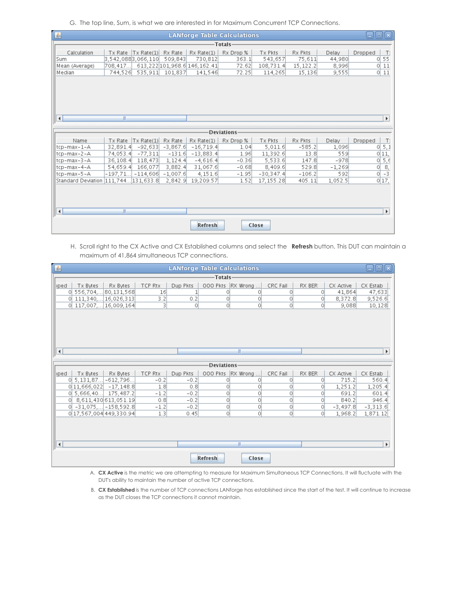G. The top line, Sum, is what we are interested in for Maximum Concurrent TCP Connections.

| 圖                                     |                    |                            |            |                              | <b>LANforge Table Calculations</b> |             |          |          | $\Box$<br>$=$ |                |  |
|---------------------------------------|--------------------|----------------------------|------------|------------------------------|------------------------------------|-------------|----------|----------|---------------|----------------|--|
|                                       |                    |                            |            |                              | -Totals·                           |             |          |          |               |                |  |
| Calculation                           | Tx Rate            | $\vert$ Tx Rate $(1)\vert$ | Rx Rate    | Rx Rate(1)                   | Rx Drop %                          | Tx Pkts     | Rx Pkts  | Delay    | Dropped       | $T$ :          |  |
| Sum                                   | 3,542,0883,066,110 |                            | 509.843    | 730.812                      | 363.1                              | 543.657     | 75,611   | 44.980   | 0             | 55             |  |
| Mean (Average)                        | 708,417            |                            |            | 613,222 101,968.6 146,162.41 | 72.62                              | 108,731.4   | 15,122.2 | 8,996    | 0             | 11             |  |
| Median                                | 744,526            | 535,911                    | 101,837    | 141,546                      | 72.25                              | 114,265     | 15,136   | 9.555    | 0             | 11             |  |
|                                       |                    |                            |            |                              |                                    |             |          |          |               |                |  |
|                                       |                    |                            |            |                              |                                    |             |          |          |               |                |  |
|                                       |                    |                            |            |                              |                                    |             |          |          |               |                |  |
|                                       |                    |                            |            |                              |                                    |             |          |          |               |                |  |
|                                       |                    |                            |            |                              |                                    |             |          |          |               |                |  |
|                                       |                    |                            |            |                              |                                    |             |          |          |               |                |  |
| $\blacktriangleleft$                  | Ш                  |                            |            |                              |                                    |             |          |          |               | Þ.             |  |
|                                       |                    |                            |            |                              |                                    |             |          |          |               |                |  |
| Deviations                            |                    |                            |            |                              |                                    |             |          |          |               |                |  |
| Name                                  | Tx Rate            | Tx Rate(1)                 | Rx Rate    | Rx Rate(1)                   | Rx Drop %                          | Tx Pkts     | Rx Pkts  | Delay    | Dropped       | $T$ :          |  |
| ltcp-max-1-A                          | 32.891.4           | $-92,633$                  | $-3,867.6$ | $-16,719.4$                  | 1.04                               | 5,011.6     | $-585.2$ | 1,096    | 0             | 5,1            |  |
| ltcp-max-2-A                          | 74,053.4           | $-77,311$                  | $-131.6$   | $-13,883.4$                  | 1.96                               | 11,392.6    | 13.8     | 559      | 11.<br>0l     |                |  |
| tcp-max-3-A                           | 36,108.4           | 118,473                    | 1, 124.4   | $-4,616.4$                   | $-0.36$                            | 5,533.6     | 147.8    | $-978$   | O             | 5,6            |  |
| tcp-max-4-A                           | 54,659.4           | 166,077                    | 3,882.4    | 31,067.6                     | $-0.68$                            | 8,409.6     | 529.8    | $-1,269$ | O             | $\frac{8}{-3}$ |  |
| tcp-max-5-A                           | $-197,71$          | $-114,606$                 | $-1.007.6$ | 4.151.6                      | $-1.95$                            | $-30.347.4$ | $-106.2$ | 592      | 0             |                |  |
| Standard Deviation 1111.7441131.633.8 |                    |                            | 2.842.9    | 19.209.57                    | 1.52                               | 17.155.28   | 405.11   | 1.052.5  | 0 17,         |                |  |
|                                       |                    |                            |            |                              |                                    |             |          |          |               |                |  |
|                                       |                    |                            |            |                              |                                    |             |          |          |               |                |  |
|                                       |                    |                            |            |                              |                                    |             |          |          |               |                |  |
|                                       | Ш                  |                            |            |                              |                                    |             |          |          |               | k              |  |
| $\blacktriangleleft$                  |                    |                            |            |                              |                                    |             |          |          |               |                |  |
|                                       |                    |                            |            |                              |                                    |             |          |          |               |                |  |
|                                       | Refresh<br>Close   |                            |            |                              |                                    |             |          |          |               |                |  |

H. Scroll right to the CX Active and CX Established columns and select the **Refresh** button. This DUT can maintain a maximum of 41,864 simultaneous TCP connections.

| 圖<br><b>LANforge Table Calculations</b>        |          |            |                      |          |         |            |                       |  |  |  |  |  |
|------------------------------------------------|----------|------------|----------------------|----------|---------|------------|-----------------------|--|--|--|--|--|
| <b>Totals</b>                                  |          |            |                      |          |         |            |                       |  |  |  |  |  |
| <b>TCP Rtx</b><br>Tx Bytes<br>Rx Bytes<br>pped | Dup Pkts | 000 Pkts   | RX Wrong             | CRC Fail | RX BER  | CX Active  | CX Estab              |  |  |  |  |  |
| 556,704, 80,131,568<br>16<br>0l                | 1        | 0          | O                    | $\circ$  | O       | 41,864     | 47,633                |  |  |  |  |  |
| 111, 340,    16, 026, 313<br>3.2<br>0          | 0.2      | 0          | 0                    | 0        | 0       | 8,372.8    | 9,526.6               |  |  |  |  |  |
| 0 117,007 16,009,164<br>3                      | $\circ$  | 0          | 0                    | $\circ$  | O       | 9,088      | 10,128                |  |  |  |  |  |
|                                                |          |            |                      |          |         |            |                       |  |  |  |  |  |
|                                                |          |            |                      |          |         |            |                       |  |  |  |  |  |
|                                                |          |            |                      |          |         |            |                       |  |  |  |  |  |
|                                                |          |            |                      |          |         |            |                       |  |  |  |  |  |
|                                                |          |            |                      |          |         |            |                       |  |  |  |  |  |
|                                                |          |            |                      |          |         |            |                       |  |  |  |  |  |
| Ш<br>Þ.<br>$\blacktriangleleft$                |          |            |                      |          |         |            |                       |  |  |  |  |  |
|                                                |          |            |                      |          |         |            |                       |  |  |  |  |  |
|                                                |          | Deviations |                      |          |         |            |                       |  |  |  |  |  |
| TCP Rtx<br>Tx Bytes<br>pped<br>Rx Bytes        | Dup Pkts | 000 Pkts   | RX Wrong<br>$\cdots$ | CRC Fail | RX BER  | CX Active  | CX Estab              |  |  |  |  |  |
| 5, 131, 87 - 612, 796<br>$-0.2$<br>$\circ$     | $-0.2$   | 0          | 0                    | 0        | 0       | 715.2      | 560.4                 |  |  |  |  |  |
| $0 11,666,022 $ -17,148.8<br>1.8               | 0.8      | 0          | 0                    | 0        | O       | 1,251.2    | 1,205.4               |  |  |  |  |  |
| 5,666,40 175,487.2<br>$-1.2$<br>0l             | $-0.2$   | 0          | 0                    | $\circ$  | O       | 691.2      | 601.4                 |  |  |  |  |  |
| 8,611,430 613,051.19<br>0.8<br>$\circ$         | $-0.2$   | 0          | 0                    | O        | 0       | 840.2      | 946.4                 |  |  |  |  |  |
| 0 -31,075, - 158,592.8<br>$-1.2$               | $-0.2$   | 0          | 0                    | O        | $\circ$ | $-3,497.8$ | $-3,313.6$            |  |  |  |  |  |
| 0 17.567.004 449.330.94<br>1.3                 | 0.45     | O          | 0                    | $\circ$  | O       | 1,968.2    | 1,871.12              |  |  |  |  |  |
|                                                |          |            |                      |          |         |            |                       |  |  |  |  |  |
|                                                |          |            |                      |          |         |            |                       |  |  |  |  |  |
|                                                |          |            |                      |          |         |            |                       |  |  |  |  |  |
| $\blacktriangleleft$                           |          |            | Ш                    |          |         |            | $\blacktriangleright$ |  |  |  |  |  |
|                                                |          |            |                      |          |         |            |                       |  |  |  |  |  |
|                                                |          | Refresh    | Close                |          |         |            |                       |  |  |  |  |  |

A. **CX Active** is the metric we are attempting to measure for Maximum Simultaneous TCP Connections. It will fluctuate with the DUT's ability to maintain the number of active TCP connections.

B. **CX Established** is the number of TCP connections LANforge has established since the start of the test. It will continue to increase as the DUT closes the TCP connections it cannot maintain.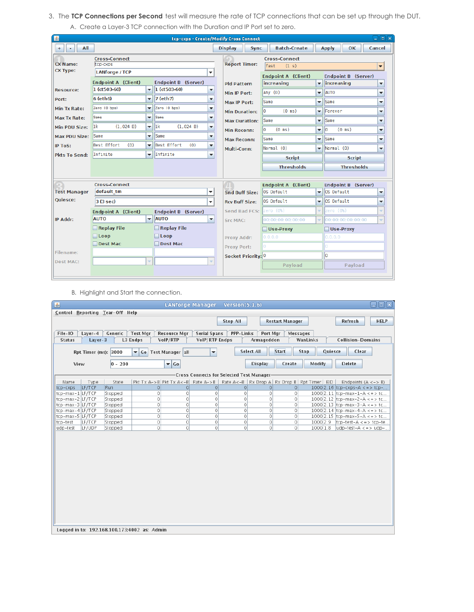3. The **TCP Connections per Second** test will measure the rate of TCP connections that can be set up through the DUT. A. Create a Layer-3 TCP connection with the Duration and IP Port set to zero.

| 圖<br>$= 5x$<br>tcp-cxps - Create/Modify Cross Connect |                            |                          |                            |                          |  |                               |                                           |                          |                        |                          |  |  |
|-------------------------------------------------------|----------------------------|--------------------------|----------------------------|--------------------------|--|-------------------------------|-------------------------------------------|--------------------------|------------------------|--------------------------|--|--|
| All<br>$^{+}$<br>۰                                    |                            |                          |                            |                          |  | <b>Display</b><br><b>Sync</b> | <b>Batch-Create</b>                       |                          | <b>Apply</b><br>OK.    | Cancel                   |  |  |
|                                                       | <b>Cross-Connect</b>       |                          |                            |                          |  |                               | <b>Cross-Connect</b>                      |                          |                        |                          |  |  |
| <b>CX Name:</b>                                       | tcp-cxps                   |                          |                            |                          |  | <b>Report Timer:</b>          | fast<br>(1 s)<br>$\overline{\phantom{0}}$ |                          |                        |                          |  |  |
| <b>CX Type:</b>                                       | <b>LANforge / TCP</b>      |                          |                            | $\overline{\phantom{a}}$ |  |                               | <b>Endpoint A (Client)</b>                |                          | Endpoint B (Server)    |                          |  |  |
|                                                       | <b>Endpoint A (Client)</b> |                          | <b>Endpoint B (Server)</b> |                          |  | <b>Pld Pattern</b>            | increasing                                | $\overline{\mathbf{v}}$  | increasing             | ▼                        |  |  |
| <b>Resource:</b>                                      | 1 (ct503-60)               | ▼                        | $ 1 (ct503-60)$            | ▼                        |  | Min IP Port:                  | Any $(0)$                                 | $\overline{\phantom{a}}$ | <b>AUTO</b>            | ▼                        |  |  |
| Port:                                                 | $6$ (eth $6$ )             | ▼                        | 7 (eth7)                   | ▼                        |  | Max IP Port:                  | Same                                      | $\overline{\phantom{a}}$ | Same                   | ▼                        |  |  |
| <b>Min Tx Rate:</b>                                   | Zero (0 bps)               | ▼                        | Zero (0 bps)               | ▼                        |  | <b>Min Duration:</b>          | $(0 \text{ ms})$<br>l٥                    | $\overline{\phantom{0}}$ | Forever                | ▼                        |  |  |
| Max Tx Rate:                                          | Same                       | $\overline{\phantom{a}}$ | <b>Same</b>                | ▼                        |  | <b>Max Duration:</b>          | Same                                      | $\overline{\phantom{0}}$ | Same                   | ÷                        |  |  |
| Min PDU Size:                                         | l1k<br>(1, 024 B)          | $\overline{\phantom{a}}$ | 1k <br>(1,024 B)           | ٠                        |  | <b>Min Reconn:</b>            | $(0 \text{ ms})$<br>l٥                    | $\overline{\phantom{a}}$ | $(0 \text{ ms})$<br>I٥ | v                        |  |  |
| <b>Max PDU Size:</b>                                  | <b>Same</b>                | ▼                        | <b>Same</b>                | ▼                        |  | <b>Max Reconn:</b>            | Same                                      | ▼                        | Same                   | ▼                        |  |  |
| <b>IP ToS:</b>                                        | Best Effort<br>(0)         | ▼                        | Best Effort<br>(0)         | ▼                        |  | Multi-Conn:                   | Normal (0)                                | $\overline{\phantom{0}}$ | Normal (0)             | ▼                        |  |  |
| <b>Pkts To Send:</b>                                  | Infinite                   | Infinite<br>▼            |                            | $\overline{\phantom{a}}$ |  |                               | <b>Script</b>                             |                          | <b>Script</b>          |                          |  |  |
|                                                       |                            |                          |                            |                          |  |                               | <b>Thresholds</b>                         |                          | <b>Thresholds</b>      |                          |  |  |
|                                                       |                            |                          |                            |                          |  |                               |                                           |                          |                        |                          |  |  |
|                                                       | <b>Cross-Connect</b>       |                          |                            |                          |  |                               | <b>Endpoint A (Client)</b>                |                          | Endpoint B (Server)    |                          |  |  |
| <b>Test Manager</b>                                   | default tm                 |                          |                            | $\blacktriangledown$     |  | Snd Buff Size:                | OS Default                                | $\overline{\phantom{a}}$ | OS Default             | $\overline{\phantom{0}}$ |  |  |
| Quiesce:                                              | 3 (3 sec)                  |                          |                            | ▼                        |  | <b>Rcv Buff Size:</b>         | OS Default                                | $\overline{\phantom{a}}$ | OS Default             | ▼                        |  |  |
|                                                       | <b>Endpoint A (Client)</b> |                          | <b>Endpoint B (Server)</b> |                          |  | Send Bad FCS:                 | zero (0%)                                 | ÷                        | zero (0%)              | ÷                        |  |  |
| IP Addr:                                              | <b>AUTO</b>                | $\overline{\phantom{a}}$ | <b>AUTO</b>                | $\overline{\phantom{a}}$ |  | Src MAC:                      | 00:00:00:00:00:00                         | $\overline{\phantom{0}}$ | 00:00:00:00:00:00      | ÷                        |  |  |
|                                                       | Replay File                |                          | $\Box$ Replay File         |                          |  |                               | Use-Proxy                                 |                          | Use-Proxy              |                          |  |  |
|                                                       | $\Box$ Loop                |                          | $\Box$ Loop                |                          |  | Proxy Addr:                   | 0.0.0.0                                   |                          | 0.0.0.0                |                          |  |  |
|                                                       | □ Dest Mac                 |                          | Dest Mac                   |                          |  | <b>Proxy Port:</b>            | lo.                                       |                          | Ō                      |                          |  |  |
| Filename:                                             |                            |                          |                            |                          |  | Socket Priority: 0            |                                           |                          | $\overline{0}$         |                          |  |  |
| Dest MAC:                                             |                            | ÷                        |                            |                          |  |                               | Payload                                   |                          | Payload                |                          |  |  |
|                                                       |                            |                          |                            |                          |  |                               |                                           |                          |                        |                          |  |  |

B. Highlight and Start the connection.

| 日回図<br>圖<br><b>LANforge Manager</b><br>Version $(5.1.6)$                                                                                                         |            |                                   |          |                |                                            |                |                        |                                                     |                                     |             |  |  |
|------------------------------------------------------------------------------------------------------------------------------------------------------------------|------------|-----------------------------------|----------|----------------|--------------------------------------------|----------------|------------------------|-----------------------------------------------------|-------------------------------------|-------------|--|--|
| Control Reporting Tear-Off Help                                                                                                                                  |            |                                   |          |                |                                            |                |                        |                                                     |                                     |             |  |  |
|                                                                                                                                                                  |            |                                   |          |                | <b>Stop All</b>                            |                | <b>Restart Manager</b> |                                                     | Refresh                             | <b>HELP</b> |  |  |
|                                                                                                                                                                  |            |                                   |          |                |                                            |                |                        |                                                     |                                     |             |  |  |
| Generic<br><b>Test Mgr</b><br><b>Serial Spans</b><br>PPP-Links<br>File-IO<br>$Layer-4$<br><b>Resource Mgr</b><br>Port Mgr<br>Messages                            |            |                                   |          |                |                                            |                |                        |                                                     |                                     |             |  |  |
| L3 Endps<br>Armageddon<br><b>Collision-Domains</b><br><b>Status</b><br>Layer-3<br>VoIP/RTP<br>VolP/RTP Endps<br>WanLinks                                         |            |                                   |          |                |                                            |                |                        |                                                     |                                     |             |  |  |
|                                                                                                                                                                  |            |                                   |          |                |                                            |                |                        |                                                     |                                     |             |  |  |
| <b>Start</b><br><b>Select All</b><br>Clear<br>$\overline{\phantom{a}}$<br>Stop<br>Quiesce<br>Rpt Timer (ms): 3000<br>$\blacktriangledown$ Go<br>Test Manager all |            |                                   |          |                |                                            |                |                        |                                                     |                                     |             |  |  |
| View                                                                                                                                                             | $ 0 - 200$ | $\overline{\phantom{a}}$ Go       |          |                |                                            | <b>Display</b> | Create                 | Modify                                              | <b>Delete</b>                       |             |  |  |
|                                                                                                                                                                  |            |                                   |          |                | -Cross Connects for Selected Test Manager- |                |                        |                                                     |                                     |             |  |  |
| Name<br>Type                                                                                                                                                     | State      | Pkt Tx A->B Pkt Tx A<-B Rate A->B |          |                |                                            |                |                        | Rate A<-B   Rx Drop A   Rx Drop B   Rpt Timer   EID | Endpoints $(A \le -> B)$            |             |  |  |
| LF/TCP<br>tcp-cxps                                                                                                                                               | Run        | $\overline{0}$                    | $\Omega$ | $\circ$        | $\circ$                                    | $\Omega$       | 0                      |                                                     | 1000 2.16 tcp-cxps-A $\lt$ = > tcp- |             |  |  |
| tcp-max-1 LF/TCP                                                                                                                                                 | Stopped    | 0                                 | $\Omega$ | $\circ$        | $\circ$                                    | $\circ$        | $\Omega$               |                                                     | 1000 2.11 tcp-max-1-A $\lt$ = > tc  |             |  |  |
| tcp-max-2 LF/TCP                                                                                                                                                 | Stopped    | 0                                 | $\circ$  | $\circ$        | $\circ$                                    | 0              | $\circ$                |                                                     | 1000 2.12 tcp-max-2-A $\lt$ = > tc  |             |  |  |
| tcp-max-3 LF/TCP                                                                                                                                                 | Stopped    | 0                                 | $\circ$  | $\circ$        | $\circ$                                    | $\circ$        | $\circ$                |                                                     | $1000 2.13$ tcp-max-3-A <=> tc      |             |  |  |
| tcp-max-4 LF/TCP                                                                                                                                                 | Stopped    | 0                                 | 0        | $\circ$        | $\circ$                                    | $\circ$        | $\circ$                |                                                     | 1000 2.14 tcp-max-4-A $\lt$ = > tc  |             |  |  |
| tcp-max-5 LF/TCP                                                                                                                                                 | Stopped    | 0                                 | $\circ$  | $\circ$        | $\circ$                                    | $\circ$        | $\Omega$               |                                                     | 1000 2.15 tcp-max-5-A $\lt$ = > tc  |             |  |  |
| LF/TCP<br>tcp-test                                                                                                                                               | Stopped    | 0                                 | $\circ$  | $\circ$        | $\circ$                                    | $\circ$        | $\Omega$               | 1000 2.9                                            | $ top-test-A \lt = > tcp-te.$       |             |  |  |
| LF/UDP<br>udp-test                                                                                                                                               | Stopped    | 0                                 | $\circ$  | $\overline{0}$ | $\circ$                                    | $\circ$        | $\Omega$               | 1000 1.8                                            | $udp-test-A \leq y$ udp-            |             |  |  |
|                                                                                                                                                                  |            |                                   |          |                |                                            |                |                        |                                                     |                                     |             |  |  |
| Logged in to: 192.168.100.173:4002 as: Admin                                                                                                                     |            |                                   |          |                |                                            |                |                        |                                                     |                                     |             |  |  |